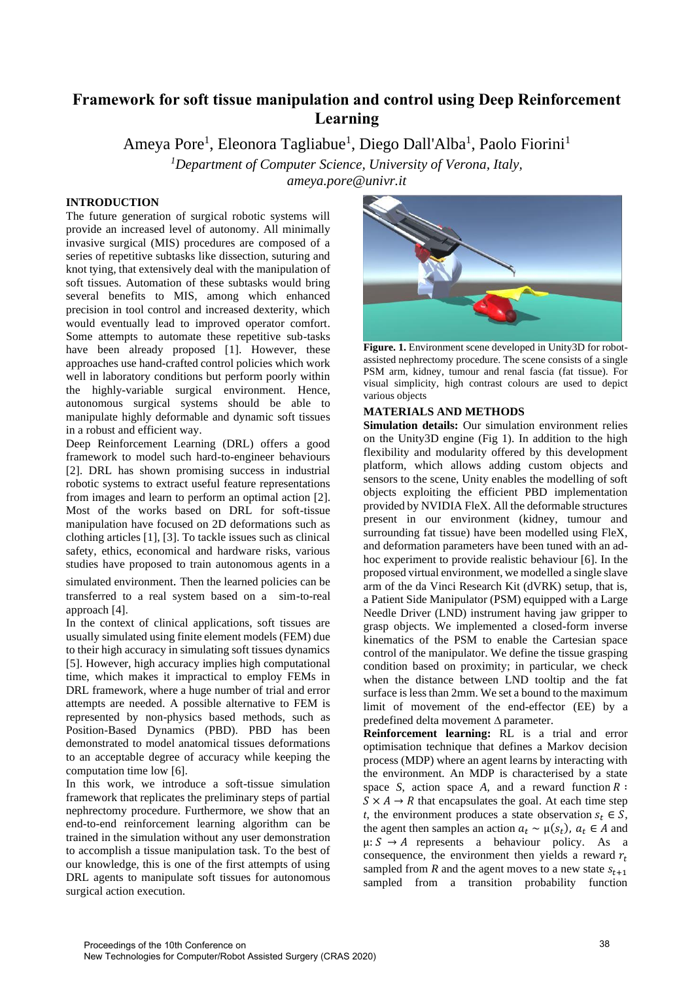# **Framework for soft tissue manipulation and control using Deep Reinforcement Learning**

Ameya Pore<sup>1</sup>, Eleonora Tagliabue<sup>1</sup>, Diego Dall'Alba<sup>1</sup>, Paolo Fiorini<sup>1</sup>

*<sup>1</sup>Department of Computer Science, University of Verona, Italy,*

*ameya.pore@univr.it*

## **INTRODUCTION**

The future generation of surgical robotic systems will provide an increased level of autonomy. All minimally invasive surgical (MIS) procedures are composed of a series of repetitive subtasks like dissection, suturing and knot tying, that extensively deal with the manipulation of soft tissues. Automation of these subtasks would bring several benefits to MIS, among which enhanced precision in tool control and increased dexterity, which would eventually lead to improved operator comfort. Some attempts to automate these repetitive sub-tasks have been already proposed [1]. However, these approaches use hand-crafted control policies which work well in laboratory conditions but perform poorly within the highly-variable surgical environment. Hence, autonomous surgical systems should be able to manipulate highly deformable and dynamic soft tissues in a robust and efficient way.

Deep Reinforcement Learning (DRL) offers a good framework to model such hard-to-engineer behaviours [2]. DRL has shown promising success in industrial robotic systems to extract useful feature representations from images and learn to perform an optimal action [2]. Most of the works based on DRL for soft-tissue manipulation have focused on 2D deformations such as clothing articles [1], [3]. To tackle issues such as clinical safety, ethics, economical and hardware risks, various studies have proposed to train autonomous agents in a

simulated environment. Then the learned policies can be transferred to a real system based on a sim-to-real approach [4].

In the context of clinical applications, soft tissues are usually simulated using finite element models (FEM) due to their high accuracy in simulating soft tissues dynamics [5]. However, high accuracy implies high computational time, which makes it impractical to employ FEMs in DRL framework, where a huge number of trial and error attempts are needed. A possible alternative to FEM is represented by non-physics based methods, such as Position-Based Dynamics (PBD). PBD has been demonstrated to model anatomical tissues deformations to an acceptable degree of accuracy while keeping the computation time low [6].

In this work, we introduce a soft-tissue simulation framework that replicates the preliminary steps of partial nephrectomy procedure. Furthermore, we show that an end-to-end reinforcement learning algorithm can be trained in the simulation without any user demonstration to accomplish a tissue manipulation task. To the best of our knowledge, this is one of the first attempts of using DRL agents to manipulate soft tissues for autonomous surgical action execution.



Figure. 1. Environment scene developed in Unity3D for robotassisted nephrectomy procedure. The scene consists of a single PSM arm, kidney, tumour and renal fascia (fat tissue). For visual simplicity, high contrast colours are used to depict various objects

### **MATERIALS AND METHODS**

**Simulation details:** Our simulation environment relies on the Unity3D engine (Fig 1). In addition to the high flexibility and modularity offered by this development platform, which allows adding custom objects and sensors to the scene, Unity enables the modelling of soft objects exploiting the efficient PBD implementation provided by NVIDIA FleX. All the deformable structures present in our environment (kidney, tumour and surrounding fat tissue) have been modelled using FleX, and deformation parameters have been tuned with an adhoc experiment to provide realistic behaviour [6]. In the proposed virtual environment, we modelled a single slave arm of the da Vinci Research Kit (dVRK) setup, that is, a Patient Side Manipulator (PSM) equipped with a Large Needle Driver (LND) instrument having jaw gripper to grasp objects. We implemented a closed-form inverse kinematics of the PSM to enable the Cartesian space control of the manipulator. We define the tissue grasping condition based on proximity; in particular, we check when the distance between LND tooltip and the fat surface is less than 2mm. We set a bound to the maximum limit of movement of the end-effector (EE) by a predefined delta movement ∆ parameter.

**Reinforcement learning:** RL is a trial and error optimisation technique that defines a Markov decision process (MDP) where an agent learns by interacting with the environment. An MDP is characterised by a state space *S*, action space *A*, and a reward function  $R$ :  $S \times A \rightarrow R$  that encapsulates the goal. At each time step *t*, the environment produces a state observation  $s_t \in S$ , the agent then samples an action  $a_t \sim \mu(s_t)$ ,  $a_t \in A$  and  $\mu: S \rightarrow A$  represents a behaviour policy. As a consequence, the environment then yields a reward  $r_t$ sampled from *R* and the agent moves to a new state  $S_{t+1}$ sampled from a transition probability function